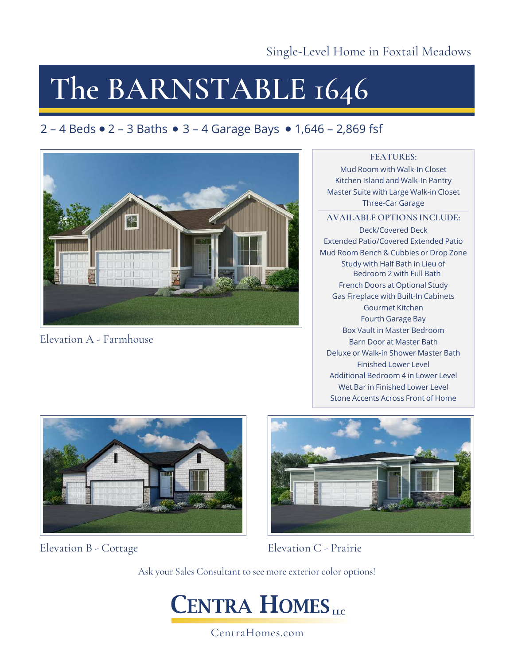Single-Level Home in Foxtail Meadows

# **The BARNSTABLE 1646**

## 2 – 4 Beds  $\bullet$  2 – 3 Baths  $\bullet$  3 – 4 Garage Bays  $\bullet$  1,646 – 2,869 fsf



Elevation A - Farmhouse

### **FEATURES:**

Mud Room with Walk-In Closet Kitchen Island and Walk-In Pantry Master Suite with Large Walk-in Closet Three-Car Garage

#### **AVAILABLE OPTIONS INCLUDE:**

Deck/Covered Deck Extended Patio/Covered Extended Patio Mud Room Bench & Cubbies or Drop Zone Study with Half Bath in Lieu of Bedroom 2 with Full Bath French Doors at Optional Study Gas Fireplace with Built-In Cabinets Gourmet Kitchen Fourth Garage Bay Box Vault in Master Bedroom Barn Door at Master Bath Deluxe or Walk-in Shower Master Bath Finished Lower Level Additional Bedroom 4 in Lower Level Wet Bar in Finished Lower Level Stone Accents Across Front of Home



Elevation B - Cottage



Elevation C - Prairie

Ask your Sales Consultant to see more exterior color options!



CentraHomes.com